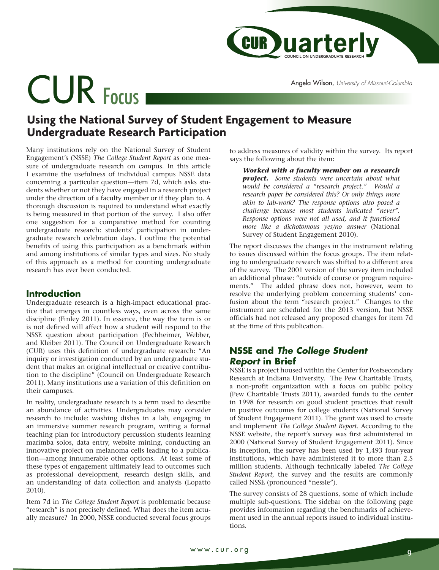

Angela Wilson, *University of Missouri-Columbia*

# CUR Focus

# **Using the National Survey of Student Engagement to Measure Undergraduate Research Participation**

Many institutions rely on the National Survey of Student Engagement's (NSSE) *The College Student Report* as one measure of undergraduate research on campus. In this article I examine the usefulness of individual campus NSSE data concerning a particular question—item 7d, which asks students whether or not they have engaged in a research project under the direction of a faculty member or if they plan to. A thorough discussion is required to understand what exactly is being measured in that portion of the survey. I also offer one suggestion for a comparative method for counting undergraduate research: students' participation in undergraduate research celebration days. I outline the potential benefits of using this participation as a benchmark within and among institutions of similar types and sizes. No study of this approach as a method for counting undergraduate research has ever been conducted.

# **Introduction**

Undergraduate research is a high-impact educational practice that emerges in countless ways, even across the same discipline (Finley 2011). In essence, the way the term is or is not defined will affect how a student will respond to the NSSE question about participation (Fechheimer, Webber, and Kleiber 2011). The Council on Undergraduate Research (CUR) uses this definition of undergraduate research: "An inquiry or investigation conducted by an undergraduate student that makes an original intellectual or creative contribution to the discipline" (Council on Undergraduate Research 2011). Many institutions use a variation of this definition on their campuses.

In reality, undergraduate research is a term used to describe an abundance of activities. Undergraduates may consider research to include: washing dishes in a lab, engaging in an immersive summer research program, writing a formal teaching plan for introductory percussion students learning marimba solos, data entry, website mining, conducting an innovative project on melanoma cells leading to a publication—among innumerable other options. At least some of these types of engagement ultimately lead to outcomes such as professional development, research design skills, and an understanding of data collection and analysis (Lopatto 2010).

Item 7d in *The College Student Report* is problematic because "research" is not precisely defined. What does the item actually measure? In 2000, NSSE conducted several focus groups to address measures of validity within the survey. Its report says the following about the item:

*Worked with a faculty member on a research project. Some students were uncertain about what would be considered a "research project." Would a research paper be considered this? Or only things more akin to lab-work? The response options also posed a challenge because most students indicated "never". Response options were not all used, and it functioned more like a dichotomous yes/no answer* (National Survey of Student Engagement 2010).

The report discusses the changes in the instrument relating to issues discussed within the focus groups. The item relating to undergraduate research was shifted to a different area of the survey. The 2001 version of the survey item included an additional phrase: "outside of course or program requirements." The added phrase does not, however, seem to resolve the underlying problem concerning students' confusion about the term "research project." Changes to the instrument are scheduled for the 2013 version, but NSSE officials had not released any proposed changes for item 7d at the time of this publication.

# **NSSE and** *The College Student Report* **in Brief**

NSSE is a project housed within the Center for Postsecondary Research at Indiana University. The Pew Charitable Trusts, a non-profit organization with a focus on public policy (Pew Charitable Trusts 2011), awarded funds to the center in 1998 for research on good student practices that result in positive outcomes for college students (National Survey of Student Engagement 2011). The grant was used to create and implement *The College Student Report*. According to the NSSE website, the report's survey was first administered in 2000 (National Survey of Student Engagement 2011). Since its inception, the survey has been used by 1,493 four-year institutions, which have administered it to more than 2.5 million students. Although technically labeled *The College Student Report*, the survey and the results are commonly called NSSE (pronounced "nessie").

The survey consists of 28 questions, some of which include multiple sub-questions. The sidebar on the following page provides information regarding the benchmarks of achievement used in the annual reports issued to individual institutions.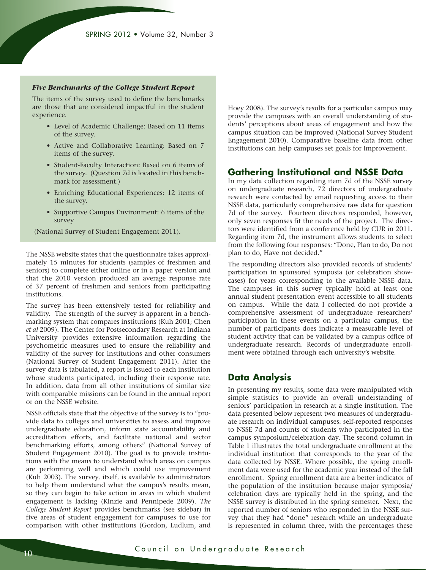#### *Five Benchmarks of the College Student Report*

The items of the survey used to define the benchmarks are those that are considered impactful in the student experience.

- Level of Academic Challenge: Based on 11 items of the survey.
- Active and Collaborative Learning: Based on 7 items of the survey.
- Student-Faculty Interaction: Based on 6 items of the survey. (Question 7d is located in this benchmark for assessment.)
- Enriching Educational Experiences: 12 items of the survey.
- Supportive Campus Environment: 6 items of the survey

(National Survey of Student Engagement 2011).

The NSSE website states that the questionnaire takes approximately 15 minutes for students (samples of freshmen and seniors) to complete either online or in a paper version and that the 2010 version produced an average response rate of 37 percent of freshmen and seniors from participating institutions.

The survey has been extensively tested for reliability and validity. The strength of the survey is apparent in a benchmarking system that compares institutions (Kuh 2001; Chen *et al* 2009). The Center for Postsecondary Research at Indiana University provides extensive information regarding the psychometric measures used to ensure the reliability and validity of the survey for institutions and other consumers (National Survey of Student Engagement 2011). After the survey data is tabulated, a report is issued to each institution whose students participated, including their response rate. In addition, data from all other institutions of similar size with comparable missions can be found in the annual report or on the NSSE website.

NSSE officials state that the objective of the survey is to "provide data to colleges and universities to assess and improve undergraduate education, inform state accountability and accreditation efforts, and facilitate national and sector benchmarking efforts, among others" (National Survey of Student Engagement 2010). The goal is to provide institutions with the means to understand which areas on campus are performing well and which could use improvement (Kuh 2003). The survey, itself, is available to administrators to help them understand what the campus's results mean, so they can begin to take action in areas in which student engagement is lacking (Kinzie and Pennipede 2009). *The College Student Report* provides benchmarks (see sidebar) in five areas of student engagement for campuses to use for comparison with other institutions (Gordon, Ludlum, and Hoey 2008). The survey's results for a particular campus may provide the campuses with an overall understanding of students' perceptions about areas of engagement and how the campus situation can be improved (National Survey Student Engagement 2010). Comparative baseline data from other institutions can help campuses set goals for improvement.

## **Gathering Institutional and NSSE Data**

In my data collection regarding item 7d of the NSSE survey on undergraduate research, 72 directors of undergraduate research were contacted by email requesting access to their NSSE data, particularly comprehensive raw data for question 7d of the survey. Fourteen directors responded, however, only seven responses fit the needs of the project. The directors were identified from a conference held by CUR in 2011. Regarding item 7d, the instrument allows students to select from the following four responses: "Done, Plan to do, Do not plan to do, Have not decided."

The responding directors also provided records of students' participation in sponsored symposia (or celebration showcases) for years corresponding to the available NSSE data. The campuses in this survey typically hold at least one annual student presentation event accessible to all students on campus. While the data I collected do not provide a comprehensive assessment of undergraduate researchers' participation in these events on a particular campus, the number of participants does indicate a measurable level of student activity that can be validated by a campus office of undergraduate research. Records of undergraduate enrollment were obtained through each university's website.

### **Data Analysis**

In presenting my results, some data were manipulated with simple statistics to provide an overall understanding of seniors' participation in research at a single institution. The data presented below represent two measures of undergraduate research on individual campuses: self-reported responses to NSSE 7d and counts of students who participated in the campus symposium/celebration day. The second column in Table 1 illustrates the total undergraduate enrollment at the individual institution that corresponds to the year of the data collected by NSSE. Where possible, the spring enrollment data were used for the academic year instead of the fall enrollment. Spring enrollment data are a better indicator of the population of the institution because major symposia/ celebration days are typically held in the spring, and the NSSE survey is distributed in the spring semester. Next, the reported number of seniors who responded in the NSSE survey that they had "done" research while an undergraduate is represented in column three, with the percentages these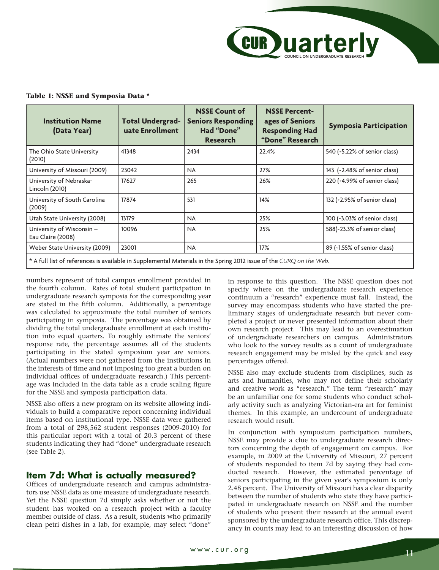

#### **Table 1: NSSE and Symposia Data \***

| <b>Institution Name</b><br>(Data Year)                                                                              | <b>Total Undergrad-</b><br>uate Enrollment | <b>NSSE Count of</b><br><b>Seniors Responding</b><br>Had "Done"<br><b>Research</b> | <b>NSSE Percent-</b><br>ages of Seniors<br><b>Responding Had</b><br>"Done" Research | <b>Symposia Participation</b> |  |
|---------------------------------------------------------------------------------------------------------------------|--------------------------------------------|------------------------------------------------------------------------------------|-------------------------------------------------------------------------------------|-------------------------------|--|
| The Ohio State University<br>(2010)                                                                                 | 41348                                      | 2434                                                                               | 22.4%                                                                               | 540 (~5.22% of senior class)  |  |
| University of Missouri (2009)                                                                                       | 23042                                      | <b>NA</b>                                                                          | 27%                                                                                 | 143 (~2.48% of senior class)  |  |
| University of Nebraska-<br>Lincoln (2010)                                                                           | 17627                                      | 265                                                                                | 26%                                                                                 | 220 (~4.99% of senior class)  |  |
| University of South Carolina<br>(2009)                                                                              | 17874                                      | 531                                                                                | 14%                                                                                 | 132 (~2.95% of senior class)  |  |
| Utah State University (2008)                                                                                        | 13179                                      | <b>NA</b>                                                                          | 25%                                                                                 | 100 (~3.03% of senior class)  |  |
| University of Wisconsin -<br>Eau Claire (2008)                                                                      | 10096                                      | <b>NA</b>                                                                          | 25%                                                                                 | 588(~23.3% of senior class)   |  |
| Weber State University (2009)                                                                                       | 23001                                      | <b>NA</b>                                                                          | 17%                                                                                 | 89 (~1.55% of senior class)   |  |
| * A full list of references is available in Supplemental Materials in the Spring 2012 issue of the CURQ on the Web. |                                            |                                                                                    |                                                                                     |                               |  |

numbers represent of total campus enrollment provided in the fourth column. Rates of total student participation in undergraduate research symposia for the corresponding year are stated in the fifth column. Additionally, a percentage was calculated to approximate the total number of seniors participating in symposia. The percentage was obtained by dividing the total undergraduate enrollment at each institution into equal quarters. To roughly estimate the seniors' response rate, the percentage assumes all of the students participating in the stated symposium year are seniors. (Actual numbers were not gathered from the institutions in the interests of time and not imposing too great a burden on individual offices of undergraduate research.) This percentage was included in the data table as a crude scaling figure for the NSSE and symposia participation data.

NSSE also offers a new program on its website allowing individuals to build a comparative report concerning individual items based on institutional type. NSSE data were gathered from a total of 298,562 student responses (2009-2010) for this particular report with a total of 20.3 percent of these students indicating they had "done" undergraduate research (see Table 2).

## **Item 7d: What is actually measured?**

Offices of undergraduate research and campus administrators use NSSE data as one measure of undergraduate research. Yet the NSSE question 7d simply asks whether or not the student has worked on a research project with a faculty member outside of class. As a result, students who primarily clean petri dishes in a lab, for example, may select "done"

in response to this question. The NSSE question does not specify where on the undergraduate research experience continuum a "research" experience must fall. Instead, the survey may encompass students who have started the preliminary stages of undergraduate research but never completed a project or never presented information about their own research project. This may lead to an overestimation of undergraduate researchers on campus. Administrators who look to the survey results as a count of undergraduate research engagement may be misled by the quick and easy percentages offered.

NSSE also may exclude students from disciplines, such as arts and humanities, who may not define their scholarly and creative work as "research." The term "research" may be an unfamiliar one for some students who conduct scholarly activity such as analyzing Victorian-era art for feminist themes. In this example, an undercount of undergraduate research would result.

In conjunction with symposium participation numbers, NSSE may provide a clue to undergraduate research directors concerning the depth of engagement on campus. For example, in 2009 at the University of Missouri, 27 percent of students responded to item 7d by saying they had conducted research. However, the estimated percentage of seniors participating in the given year's symposium is only 2.48 percent. The University of Missouri has a clear disparity between the number of students who state they have participated in undergraduate research on NSSE and the number of students who present their research at the annual event sponsored by the undergraduate research office. This discrepancy in counts may lead to an interesting discussion of how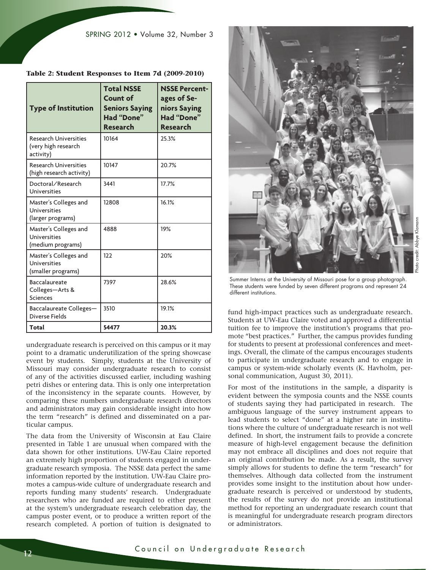| <b>Type of Institution</b>                                       | <b>Total NSSE</b><br><b>Count of</b><br><b>Seniors Saying</b><br>Had "Done"<br><b>Research</b> | <b>NSSE Percent-</b><br>ages of Se-<br>niors Saying<br><b>Had "Done"</b><br><b>Research</b> |
|------------------------------------------------------------------|------------------------------------------------------------------------------------------------|---------------------------------------------------------------------------------------------|
| <b>Research Universities</b><br>(very high research<br>activity) | 10164                                                                                          | 25.3%                                                                                       |
| <b>Research Universities</b><br>(high research activity)         | 10147                                                                                          | 20.7%                                                                                       |
| Doctoral/Research<br>Universities                                | 3441                                                                                           | 17.7%                                                                                       |
| Master's Colleges and<br>Universities<br>(larger programs)       | 12808                                                                                          | 16.1%                                                                                       |
| Master's Colleges and<br>Universities<br>(medium programs)       | 4888                                                                                           | 19%                                                                                         |
| Master's Colleges and<br>Universities<br>(smaller programs)      | 122                                                                                            | 20%                                                                                         |
| <b>Baccalaureate</b><br>Colleges-Arts &<br>Sciences              | 7397                                                                                           | 28.6%                                                                                       |
| Baccalaureate Colleges-<br>Diverse Fields                        | 3510                                                                                           | 19.1%                                                                                       |
| Total                                                            | 54477                                                                                          | 20.3%                                                                                       |

| Table 2: Student Responses to Item 7d (2009-2010) |  |  |
|---------------------------------------------------|--|--|
|---------------------------------------------------|--|--|

undergraduate research is perceived on this campus or it may point to a dramatic underutilization of the spring showcase event by students. Simply, students at the University of Missouri may consider undergraduate research to consist of any of the activities discussed earlier, including washing petri dishes or entering data. This is only one interpretation of the inconsistency in the separate counts. However, by comparing these numbers undergraduate research directors and administrators may gain considerable insight into how the term "research" is defined and disseminated on a particular campus.

The data from the University of Wisconsin at Eau Claire presented in Table 1 are unusual when compared with the data shown for other institutions. UW-Eau Claire reported an extremely high proportion of students engaged in undergraduate research symposia. The NSSE data perfect the same information reported by the institution. UW-Eau Claire promotes a campus-wide culture of undergraduate research and reports funding many students' research. Undergraduate researchers who are funded are required to either present at the system's undergraduate research celebration day, the campus poster event, or to produce a written report of the research completed. A portion of tuition is designated to



Summer Interns at the University of Missouri pose for a group photograph. These students were funded by seven different programs and represent 24 different institutions.

fund high-impact practices such as undergraduate research. Students at UW-Eau Claire voted and approved a differential tuition fee to improve the institution's programs that promote "best practices." Further, the campus provides funding for students to present at professional conferences and meetings. Overall, the climate of the campus encourages students to participate in undergraduate research and to engage in campus or system-wide scholarly events (K. Havholm, personal communication, August 30, 2011).

For most of the institutions in the sample, a disparity is evident between the symposia counts and the NSSE counts of students saying they had participated in research. The ambiguous language of the survey instrument appears to lead students to select "done" at a higher rate in institutions where the culture of undergraduate research is not well defined. In short, the instrument fails to provide a concrete measure of high-level engagement because the definition may not embrace all disciplines and does not require that an original contribution be made. As a result, the survey simply allows for students to define the term "research" for themselves. Although data collected from the instrument provides some insight to the institution about how undergraduate research is perceived or understood by students, the results of the survey do not provide an institutional method for reporting an undergraduate research count that is meaningful for undergraduate research program directors or administrators.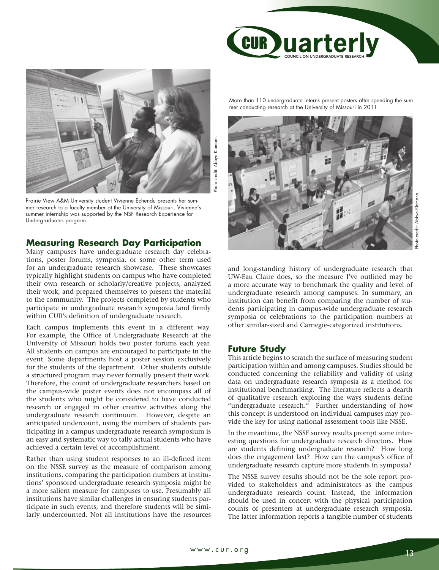



Prairie View A&M University student Vivienne Echendu presents her summer research to a faculty member at the University of Missouri. Vivienne's summer internship was supported by the NSF Research Experience for Undergraduates program.

# **Measuring Research Day Participation**

Many campuses have undergraduate research day celebrations, poster forums, symposia, or some other term used for an undergraduate research showcase. These showcases typically highlight students on campus who have completed their own research or scholarly/creative projects, analyzed their work, and prepared themselves to present the material to the community. The projects completed by students who participate in undergraduate research symposia land firmly within CUR's definition of undergraduate research.

Each campus implements this event in a different way. For example, the Office of Undergraduate Research at the University of Missouri holds two poster forums each year. All students on campus are encouraged to participate in the event. Some departments host a poster session exclusively for the students of the department. Other students outside a structured program may never formally present their work. Therefore, the count of undergraduate researchers based on the campus-wide poster events does not encompass all of the students who might be considered to have conducted research or engaged in other creative activities along the undergraduate research continuum. However, despite an anticipated undercount, using the numbers of students participating in a campus undergraduate research symposium is an easy and systematic way to tally actual students who have achieved a certain level of accomplishment.

Rather than using student responses to an ill-defined item on the NSSE survey as the measure of comparison among institutions, comparing the participation numbers at institutions' sponsored undergraduate research symposia might be a more salient measure for campuses to use. Presumably all institutions have similar challenges in ensuring students participate in such events, and therefore students will be similarly undercounted. Not all institutions have the resources

More than 110 undergraduate interns present posters after spending the summer conducting research at the University of Missouri in 2011.



and long-standing history of undergraduate research that UW-Eau Claire does, so the measure I've outlined may be a more accurate way to benchmark the quality and level of undergraduate research among campuses. In summary, an institution can benefit from comparing the number of students participating in campus-wide undergraduate research symposia or celebrations to the participation numbers at other similar-sized and Carnegie-categorized institutions.

# **Future Study**

This article begins to scratch the surface of measuring student participation within and among campuses. Studies should be conducted concerning the reliability and validity of using data on undergraduate research symposia as a method for institutional benchmarking. The literature reflects a dearth of qualitative research exploring the ways students define "undergraduate research." Further understanding of how this concept is understood on individual campuses may provide the key for using national assessment tools like NSSE.

In the meantime, the NSSE survey results prompt some interesting questions for undergraduate research directors. How are students defining undergraduate research? How long does the engagement last? How can the campus's office of undergraduate research capture more students in symposia?

The NSSE survey results should not be the sole report provided to stakeholders and administrators as the campus undergraduate research count. Instead, the information should be used in concert with the physical participation counts of presenters at undergraduate research symposia. The latter information reports a tangible number of students